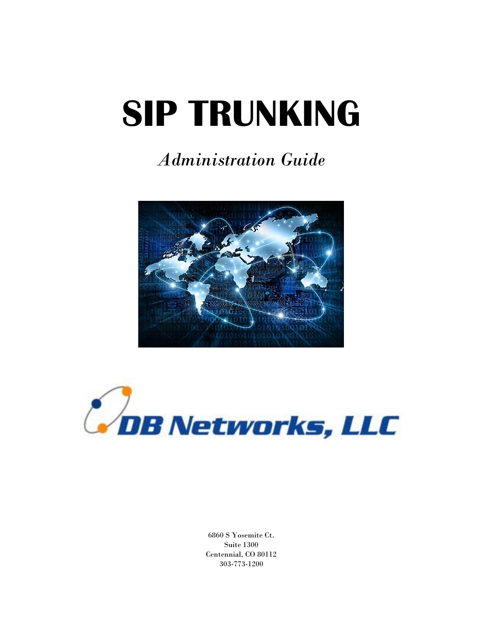# **SIP TRUNKING**

# *Administration Guide*





6860 S Yosemite Ct. Suite 1300 Centennial, CO 80112 303-773-1200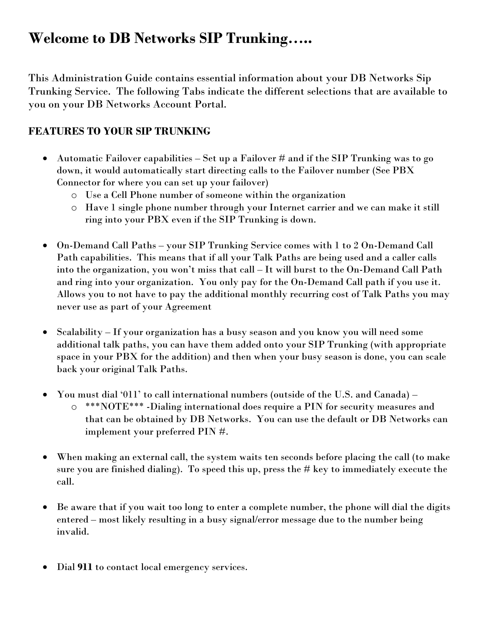## **Welcome to DB Networks SIP Trunking…..**

This Administration Guide contains essential information about your DB Networks Sip Trunking Service. The following Tabs indicate the different selections that are available to you on your DB Networks Account Portal.

### **FEATURES TO YOUR SIP TRUNKING**

- Automatic Failover capabilities Set up a Failover # and if the SIP Trunking was to go down, it would automatically start directing calls to the Failover number (See PBX Connector for where you can set up your failover)
	- o Use a Cell Phone number of someone within the organization
	- o Have 1 single phone number through your Internet carrier and we can make it still ring into your PBX even if the SIP Trunking is down.
- On-Demand Call Paths your SIP Trunking Service comes with 1 to 2 On-Demand Call Path capabilities. This means that if all your Talk Paths are being used and a caller calls into the organization, you won't miss that call – It will burst to the On-Demand Call Path and ring into your organization. You only pay for the On-Demand Call path if you use it. Allows you to not have to pay the additional monthly recurring cost of Talk Paths you may never use as part of your Agreement
- Scalability If your organization has a busy season and you know you will need some additional talk paths, you can have them added onto your SIP Trunking (with appropriate space in your PBX for the addition) and then when your busy season is done, you can scale back your original Talk Paths.
- You must dial '011' to call international numbers (outside of the U.S. and Canada)
	- o \*\*\*NOTE\*\*\* -Dialing international does require a PIN for security measures and that can be obtained by DB Networks. You can use the default or DB Networks can implement your preferred PIN #.
- When making an external call, the system waits ten seconds before placing the call (to make sure you are finished dialing). To speed this up, press the  $#$  key to immediately execute the call.
- Be aware that if you wait too long to enter a complete number, the phone will dial the digits entered – most likely resulting in a busy signal/error message due to the number being invalid.
- Dial **911** to contact local emergency services.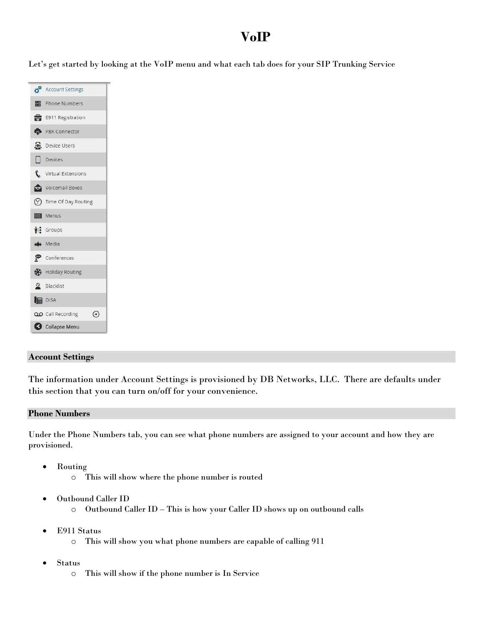## **VoIP**

Let's get started by looking at the VoIP menu and what each tab does for your SIP Trunking Service

| Account Settings                                |  |  |  |  |
|-------------------------------------------------|--|--|--|--|
| <b>HR</b> Phone Numbers                         |  |  |  |  |
| <b>For</b> E911 Registration                    |  |  |  |  |
| PBX Connector                                   |  |  |  |  |
| Device Users                                    |  |  |  |  |
| $\Box$ Devices                                  |  |  |  |  |
| Virtual Extensions                              |  |  |  |  |
| Voicemail Boxes                                 |  |  |  |  |
| <sup>2</sup> Time Of Day Routing                |  |  |  |  |
| <b>HI</b> Menus                                 |  |  |  |  |
| <sup>V</sup> I: Groups                          |  |  |  |  |
| <b>Media</b>                                    |  |  |  |  |
| Conferences                                     |  |  |  |  |
| Holiday Routing                                 |  |  |  |  |
| R Blacklist                                     |  |  |  |  |
| <b>DISA</b>                                     |  |  |  |  |
| $\left( \mathrm{+}\right)$<br>QO Call Recording |  |  |  |  |
| Collapse Menu                                   |  |  |  |  |

#### **Account Settings**

The information under Account Settings is provisioned by DB Networks, LLC. There are defaults under this section that you can turn on/off for your convenience.

#### **Phone Numbers**

Under the Phone Numbers tab, you can see what phone numbers are assigned to your account and how they are provisioned.

- Routing
	- o This will show where the phone number is routed
- Outbound Caller ID
	- o Outbound Caller ID This is how your Caller ID shows up on outbound calls
- E911 Status
	- o This will show you what phone numbers are capable of calling 911
- Status
	- o This will show if the phone number is In Service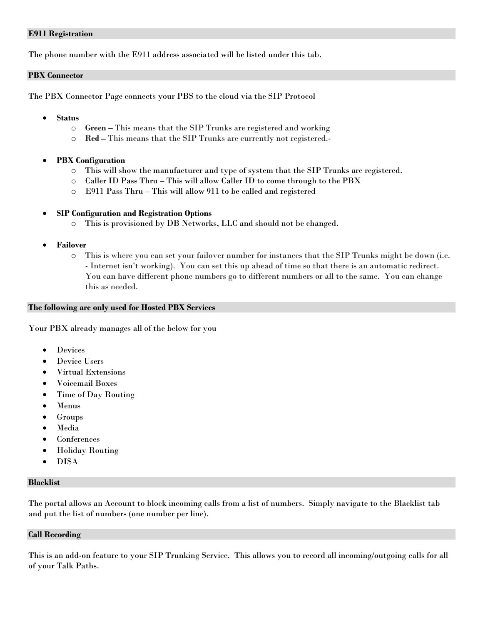#### **E911 Registration**

The phone number with the E911 address associated will be listed under this tab.

#### **PBX Connector**

The PBX Connector Page connects your PBS to the cloud via the SIP Protocol

- **Status**
	- o **Green –** This means that the SIP Trunks are registered and working
	- o **Red –** This means that the SIP Trunks are currently not registered.-
- **PBX Configuration**
	- o This will show the manufacturer and type of system that the SIP Trunks are registered.
	- o Caller ID Pass Thru This will allow Caller ID to come through to the PBX
	- o E911 Pass Thru This will allow 911 to be called and registered

#### **SIP Configuration and Registration Options**

- o This is provisioned by DB Networks, LLC and should not be changed.
- **Failover**
	- o This is where you can set your failover number for instances that the SIP Trunks might be down (i.e. - Internet isn't working). You can set this up ahead of time so that there is an automatic redirect. You can have different phone numbers go to different numbers or all to the same. You can change this as needed.

#### **The following are only used for Hosted PBX Services**

Your PBX already manages all of the below for you

- Devices
- Device Users
- Virtual Extensions
- Voicemail Boxes
- Time of Day Routing
- Menus
- Groups
- Media
- Conferences
- Holiday Routing
- DISA

#### **Blacklist**

The portal allows an Account to block incoming calls from a list of numbers. Simply navigate to the Blacklist tab and put the list of numbers (one number per line).

#### **Call Recording**

This is an add-on feature to your SIP Trunking Service. This allows you to record all incoming/outgoing calls for all of your Talk Paths.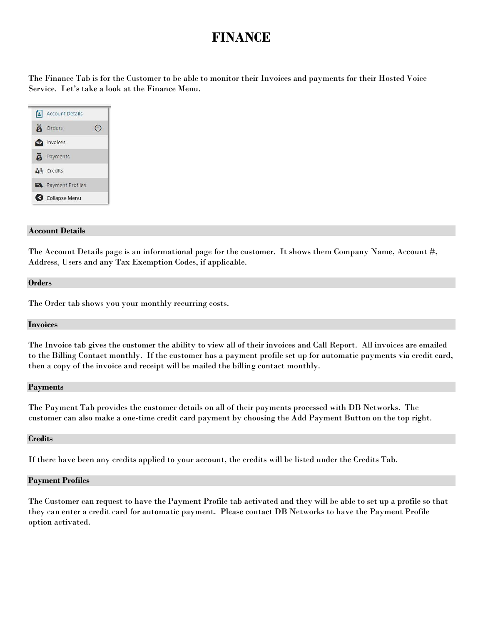## **FINANCE**

The Finance Tab is for the Customer to be able to monitor their Invoices and payments for their Hosted Voice Service. Let's take a look at the Finance Menu.

| Account Details               |  |
|-------------------------------|--|
| <b>6</b> Orders               |  |
| invoices                      |  |
| <b>A</b> Payments             |  |
| <b>A</b> <sup>s</sup> Credits |  |
| Payment Profiles              |  |
| Collapse Menu                 |  |

#### **Account Details**

The Account Details page is an informational page for the customer. It shows them Company Name, Account #, Address, Users and any Tax Exemption Codes, if applicable.

#### **Orders**

The Order tab shows you your monthly recurring costs.

#### **Invoices**

The Invoice tab gives the customer the ability to view all of their invoices and Call Report. All invoices are emailed to the Billing Contact monthly. If the customer has a payment profile set up for automatic payments via credit card, then a copy of the invoice and receipt will be mailed the billing contact monthly.

#### **Payments**

The Payment Tab provides the customer details on all of their payments processed with DB Networks. The customer can also make a one-time credit card payment by choosing the Add Payment Button on the top right.

#### **Credits**

If there have been any credits applied to your account, the credits will be listed under the Credits Tab.

#### **Payment Profiles**

The Customer can request to have the Payment Profile tab activated and they will be able to set up a profile so that they can enter a credit card for automatic payment. Please contact DB Networks to have the Payment Profile option activated.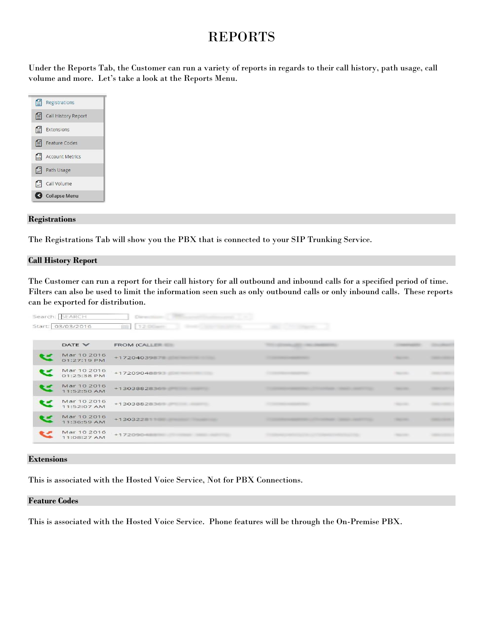## REPORTS

Under the Reports Tab, the Customer can run a variety of reports in regards to their call history, path usage, call volume and more. Let's take a look at the Reports Menu.

| $\equiv$ Registrations       |
|------------------------------|
| E Call History Report        |
| $E$ Extensions               |
| Feature Codes                |
| <b>Grid</b> Account Metrics  |
| <b>C</b> Path Usage          |
| $\left  \right $ Call Volume |
| <b>G</b> Collapse Menu       |

#### **Registrations**

The Registrations Tab will show you the PBX that is connected to your SIP Trunking Service.

#### **Call History Report**

The Customer can run a report for their call history for all outbound and inbound calls for a specified period of time. Filters can also be used to limit the information seen such as only outbound calls or only inbound calls. These reports can be exported for distribution.

| Search: SEARCH             | <b>Distance</b>  |                                |                    |  |
|----------------------------|------------------|--------------------------------|--------------------|--|
| Start: 03/03/2016          | <b>田 1200mg</b>  |                                |                    |  |
| DATE V                     | FROM (CALLER     | Glossin, Jan. - No. Statement  |                    |  |
| Mar 10 2016<br>01:27:19 PM | $+1720403987$    |                                | <b>Take Hill</b>   |  |
| Mar 10 2016<br>01:25:38 PM | +1720904889      |                                | <b>START CARDS</b> |  |
| Mar 10 2016<br>11:52:50 AM |                  |                                | <b>SQUARE</b>      |  |
| Mar 10 2016<br>11:52:07 AM | +1303882836      |                                | <b>SERVICES</b>    |  |
| Mar 10 2016<br>11:36:59 AM | +130322811 20012 | <b>COMMAND COMPANY COMPANY</b> | <b>SERVICE</b>     |  |
| Mar 10 2016<br>11:08:27 AM | $+1720904$       |                                |                    |  |
|                            |                  |                                |                    |  |

#### **Extensions**

This is associated with the Hosted Voice Service, Not for PBX Connections.

#### **Feature Codes**

This is associated with the Hosted Voice Service. Phone features will be through the On-Premise PBX.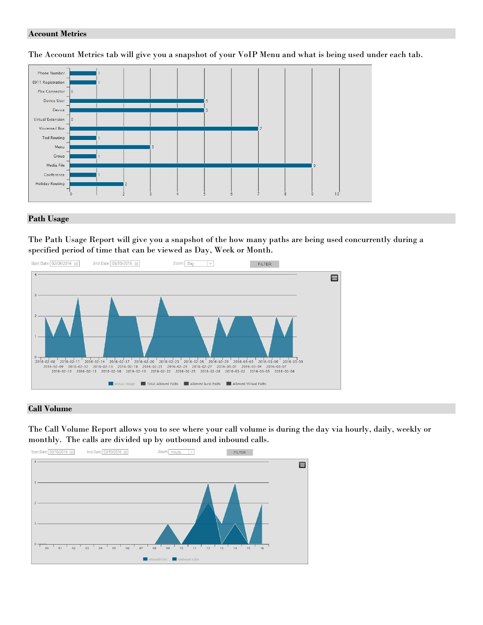#### **Account Metrics**

The Account Metrics tab will give you a snapshot of your VoIP Menu and what is being used under each tab.



#### **Path Usage**

The Path Usage Report will give you a snapshot of the how many paths are being used concurrently during a specified period of time that can be viewed as Day, Week or Month.



#### **Call Volume**

The Call Volume Report allows you to see where your call volume is during the day via hourly, daily, weekly or monthly. The calls are divided up by outbound and inbound calls.